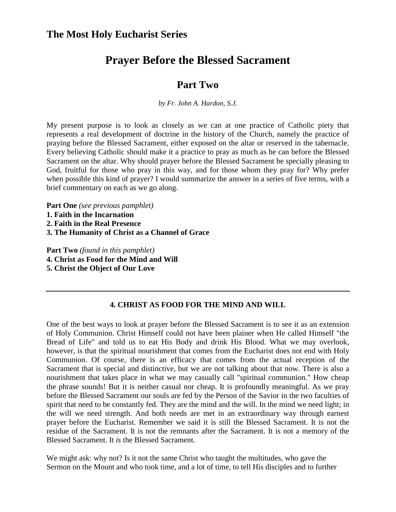# **Prayer Before the Blessed Sacrament**

### **Part Two**

*by Fr. John A. Hardon, S.J.* 

My present purpose is to look as closely as we can at one practice of Catholic piety that represents a real development of doctrine in the history of the Church, namely the practice of praying before the Blessed Sacrament, either exposed on the altar or reserved in the tabernacle. Every believing Catholic should make it a practice to pray as much as he can before the Blessed Sacrament on the altar. Why should prayer before the Blessed Sacrament be specially pleasing to God, fruitful for those who pray in this way, and for those whom they pray for? Why prefer when possible this kind of prayer? I would summarize the answer in a series of five terms, with a brief commentary on each as we go along.

**Part One** *(see previous pamphlet)*

- **1. Faith in the Incarnation**
- **2. Faith in the Real Presence**
- **3. The Humanity of Christ as a Channel of Grace**

**Part Two** *(found in this pamphlet)*  **4. Christ as Food for the Mind and Will 5. Christ the Object of Our Love** 

#### **4. CHRIST AS FOOD FOR THE MIND AND WILL**

One of the best ways to look at prayer before the Blessed Sacrament is to see it as an extension of Holy Communion. Christ Himself could not have been plainer when He called Himself "the Bread of Life" and told us to eat His Body and drink His Blood. What we may overlook, however, is that the spiritual nourishment that comes from the Eucharist does not end with Holy Communion. Of course, there is an efficacy that comes from the actual reception of the Sacrament that is special and distinctive, but we are not talking about that now. There is also a nourishment that takes place in what we may casually call "spiritual communion." How cheap the phrase sounds! But it is neither casual nor cheap. It is profoundly meaningful. As we pray before the Blessed Sacrament our souls are fed by the Person of the Savior in the two faculties of spirit that need to be constantly fed. They are the mind and the will. In the mind we need light; in the will we need strength. And both needs are met in an extraordinary way through earnest prayer before the Eucharist. Remember we said it is still the Blessed Sacrament. It is not the residue of the Sacrament. It is not the remnants after the Sacrament. It is not a memory of the Blessed Sacrament. It *is* the Blessed Sacrament.

We might ask: why not? Is it not the same Christ who taught the multitudes, who gave the Sermon on the Mount and who took time, and a lot of time, to tell His disciples and to further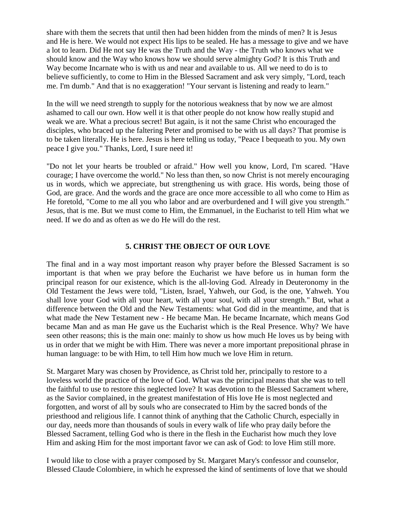share with them the secrets that until then had been hidden from the minds of men? It is Jesus and He is here. We would not expect His lips to be sealed. He has a message to give and we have a lot to learn. Did He not say He was the Truth and the Way - the Truth who knows what we should know and the Way who knows how we should serve almighty God? It is this Truth and Way become Incarnate who is with us and near and available to us. All we need to do is to believe sufficiently, to come to Him in the Blessed Sacrament and ask very simply, "Lord, teach me. I'm dumb." And that is no exaggeration! "Your servant is listening and ready to learn."

In the will we need strength to supply for the notorious weakness that by now we are almost ashamed to call our own. How well it is that other people do not know how really stupid and weak we are. What a precious secret! But again, is it not the same Christ who encouraged the disciples, who braced up the faltering Peter and promised to be with us all days? That promise is to be taken literally. He is here. Jesus is here telling us today, "Peace I bequeath to you. My own peace I give you." Thanks, Lord, I sure need it!

"Do not let your hearts be troubled or afraid." How well you know, Lord, I'm scared. "Have courage; I have overcome the world." No less than then, so now Christ is not merely encouraging us in words, which we appreciate, but strengthening us with grace. His words, being those of God, are grace. And the words and the grace are once more accessible to all who come to Him as He foretold, "Come to me all you who labor and are overburdened and I will give you strength." Jesus, that is me. But we must come to Him, the Emmanuel, in the Eucharist to tell Him what we need. If we do and as often as we do He will do the rest.

#### **5. CHRIST THE OBJECT OF OUR LOVE**

The final and in a way most important reason why prayer before the Blessed Sacrament is so important is that when we pray before the Eucharist we have before us in human form the principal reason for our existence, which is the all-loving God. Already in Deuteronomy in the Old Testament the Jews were told, "Listen, Israel, Yahweh, our God, is the one, Yahweh. You shall love your God with all your heart, with all your soul, with all your strength." But, what a difference between the Old and the New Testaments: what God did in the meantime, and that is what made the New Testament new - He became Man. He became Incarnate, which means God became Man and as man He gave us the Eucharist which is the Real Presence. Why? We have seen other reasons; this is the main one: mainly to show us how much He loves us by being with us in order that we might be with Him. There was never a more important prepositional phrase in human language: to be with Him, to tell Him how much we love Him in return.

St. Margaret Mary was chosen by Providence, as Christ told her, principally to restore to a loveless world the practice of the love of God. What was the principal means that she was to tell the faithful to use to restore this neglected love? It was devotion to the Blessed Sacrament where, as the Savior complained, in the greatest manifestation of His love He is most neglected and forgotten, and worst of all by souls who are consecrated to Him by the sacred bonds of the priesthood and religious life. I cannot think of anything that the Catholic Church, especially in our day, needs more than thousands of souls in every walk of life who pray daily before the Blessed Sacrament, telling God who is there in the flesh in the Eucharist how much they love Him and asking Him for the most important favor we can ask of God: to love Him still more.

I would like to close with a prayer composed by St. Margaret Mary's confessor and counselor, Blessed Claude Colombiere, in which he expressed the kind of sentiments of love that we should